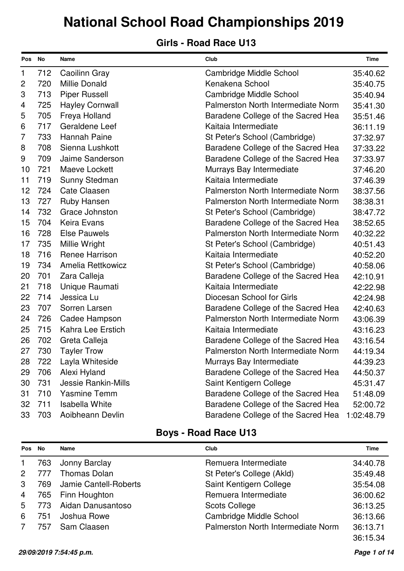#### **Girls - Road Race U13**

| Pos No         |     | Name                       | Club                               | <b>Time</b> |
|----------------|-----|----------------------------|------------------------------------|-------------|
| 1              | 712 | Caoilinn Gray              | Cambridge Middle School            | 35:40.62    |
| $\overline{c}$ | 720 | <b>Millie Donald</b>       | Kenakena School                    | 35:40.75    |
| 3              | 713 | <b>Piper Russell</b>       | Cambridge Middle School            | 35:40.94    |
| 4              | 725 | <b>Hayley Cornwall</b>     | Palmerston North Intermediate Norm | 35:41.30    |
| 5              | 705 | Freya Holland              | Baradene College of the Sacred Hea | 35:51.46    |
| 6              | 717 | Geraldene Leef             | Kaitaia Intermediate               | 36:11.19    |
| 7              | 733 | <b>Hannah Paine</b>        | St Peter's School (Cambridge)      | 37:32.97    |
| 8              | 708 | Sienna Lushkott            | Baradene College of the Sacred Hea | 37:33.22    |
| 9              | 709 | Jaime Sanderson            | Baradene College of the Sacred Hea | 37:33.97    |
| 10             | 721 | Maeve Lockett              | Murrays Bay Intermediate           | 37:46.20    |
| 11             | 719 | Sunny Stedman              | Kaitaia Intermediate               | 37:46.39    |
| 12             | 724 | <b>Cate Claasen</b>        | Palmerston North Intermediate Norm | 38:37.56    |
| 13             | 727 | <b>Ruby Hansen</b>         | Palmerston North Intermediate Norm | 38:38.31    |
| 14             | 732 | Grace Johnston             | St Peter's School (Cambridge)      | 38:47.72    |
| 15             | 704 | Keira Evans                | Baradene College of the Sacred Hea | 38:52.65    |
| 16             | 728 | <b>Else Pauwels</b>        | Palmerston North Intermediate Norm | 40:32.22    |
| 17             | 735 | Millie Wright              | St Peter's School (Cambridge)      | 40:51.43    |
| 18             | 716 | <b>Renee Harrison</b>      | Kaitaia Intermediate               | 40:52.20    |
| 19             | 734 | Amelia Rettkowicz          | St Peter's School (Cambridge)      | 40:58.06    |
| 20             | 701 | Zara Calleja               | Baradene College of the Sacred Hea | 42:10.91    |
| 21             | 718 | Unique Raumati             | Kaitaia Intermediate               | 42:22.98    |
| 22             | 714 | Jessica Lu                 | Diocesan School for Girls          | 42:24.98    |
| 23             | 707 | Sorren Larsen              | Baradene College of the Sacred Hea | 42:40.63    |
| 24             | 726 | Cadee Hampson              | Palmerston North Intermediate Norm | 43:06.39    |
| 25             | 715 | Kahra Lee Erstich          | Kaitaia Intermediate               | 43:16.23    |
| 26             | 702 | Greta Calleja              | Baradene College of the Sacred Hea | 43:16.54    |
| 27             | 730 | <b>Tayler Trow</b>         | Palmerston North Intermediate Norm | 44:19.34    |
| 28             | 722 | Layla Whiteside            | Murrays Bay Intermediate           | 44:39.23    |
| 29             | 706 | Alexi Hyland               | Baradene College of the Sacred Hea | 44:50.37    |
| 30             | 731 | <b>Jessie Rankin-Mills</b> | Saint Kentigern College            | 45:31.47    |
| 31             | 710 | <b>Yasmine Temm</b>        | Baradene College of the Sacred Hea | 51:48.09    |
| 32             | 711 | <b>Isabella White</b>      | Baradene College of the Sacred Hea | 52:00.72    |
| 33             | 703 | Aoibheann Devlin           | Baradene College of the Sacred Hea | 1:02:48.79  |

| Pos No         |     | <b>Name</b>           | Club                               | Time     |
|----------------|-----|-----------------------|------------------------------------|----------|
| $\mathbf{1}$   | 763 | Jonny Barclay         | Remuera Intermediate               | 34:40.78 |
| 2              |     | <b>Thomas Dolan</b>   | St Peter's College (Akld)          | 35:49.48 |
| 3              | 769 | Jamie Cantell-Roberts | Saint Kentigern College            | 35:54.08 |
| $\overline{4}$ | 765 | Finn Houghton         | Remuera Intermediate               | 36:00.62 |
| 5              | 773 | Aidan Danusantoso     | <b>Scots College</b>               | 36:13.25 |
| 6              | 751 | Joshua Rowe           | Cambridge Middle School            | 36:13.66 |
|                | 757 | Sam Claasen           | Palmerston North Intermediate Norm | 36:13.71 |
|                |     |                       |                                    | 36:15.34 |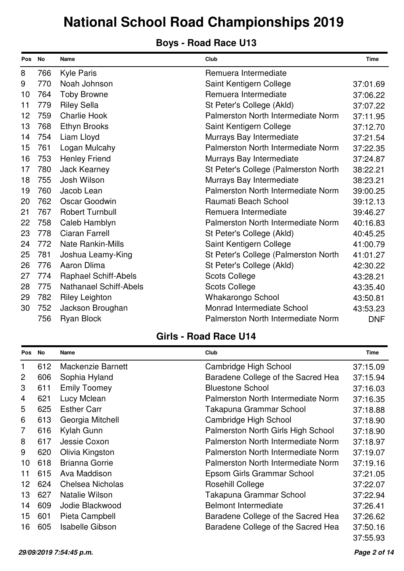### **Boys - Road Race U13**

| Pos No |     | <b>Name</b>                   | Club                                  | <b>Time</b> |
|--------|-----|-------------------------------|---------------------------------------|-------------|
| 8      | 766 | <b>Kyle Paris</b>             | Remuera Intermediate                  |             |
| 9      | 770 | Noah Johnson                  | Saint Kentigern College               | 37:01.69    |
| 10     | 764 | <b>Toby Browne</b>            | Remuera Intermediate                  | 37:06.22    |
| 11     | 779 | <b>Riley Sella</b>            | St Peter's College (Akld)             | 37:07.22    |
| 12     | 759 | <b>Charlie Hook</b>           | Palmerston North Intermediate Norm    | 37:11.95    |
| 13     | 768 | <b>Ethyn Brooks</b>           | Saint Kentigern College               | 37:12.70    |
| 14     | 754 | Liam Lloyd                    | Murrays Bay Intermediate              | 37:21.54    |
| 15     | 761 | Logan Mulcahy                 | Palmerston North Intermediate Norm    | 37:22.35    |
| 16     | 753 | <b>Henley Friend</b>          | Murrays Bay Intermediate              | 37:24.87    |
| 17     | 780 | <b>Jack Kearney</b>           | St Peter's College (Palmerston North) | 38:22.21    |
| 18     | 755 | Josh Wilson                   | Murrays Bay Intermediate              | 38:23.21    |
| 19     | 760 | Jacob Lean                    | Palmerston North Intermediate Norm    | 39:00.25    |
| 20     | 762 | Oscar Goodwin                 | Raumati Beach School                  | 39:12.13    |
| 21     | 767 | <b>Robert Turnbull</b>        | Remuera Intermediate                  | 39:46.27    |
| 22     | 758 | Caleb Hamblyn                 | Palmerston North Intermediate Norm    | 40:16.83    |
| 23     | 778 | Ciaran Farrell                | St Peter's College (Akld)             | 40:45.25    |
| 24     | 772 | <b>Nate Rankin-Mills</b>      | Saint Kentigern College               | 41:00.79    |
| 25     | 781 | Joshua Leamy-King             | St Peter's College (Palmerston North) | 41:01.27    |
| 26     | 776 | Aaron Dlima                   | St Peter's College (Akld)             | 42:30.22    |
| 27     | 774 | <b>Raphael Schiff-Abels</b>   | <b>Scots College</b>                  | 43:28.21    |
| 28     | 775 | <b>Nathanael Schiff-Abels</b> | <b>Scots College</b>                  | 43:35.40    |
| 29     | 782 | <b>Riley Leighton</b>         | <b>Whakarongo School</b>              | 43:50.81    |
| 30     | 752 | Jackson Broughan              | Monrad Intermediate School            | 43:53.23    |
|        | 756 | <b>Ryan Block</b>             | Palmerston North Intermediate Norm    | <b>DNF</b>  |

| <b>Pos</b>     | No  | Name                     | Club                               | Time     |
|----------------|-----|--------------------------|------------------------------------|----------|
| 1              | 612 | <b>Mackenzie Barnett</b> | Cambridge High School              | 37:15.09 |
| 2              | 606 | Sophia Hyland            | Baradene College of the Sacred Hea | 37:15.94 |
| 3              | 611 | <b>Emily Toomey</b>      | <b>Bluestone School</b>            | 37:16.03 |
| 4              | 621 | Lucy Mclean              | Palmerston North Intermediate Norm | 37:16.35 |
| 5              | 625 | <b>Esther Carr</b>       | Takapuna Grammar School            | 37:18.88 |
| 6              | 613 | Georgia Mitchell         | Cambridge High School              | 37:18.90 |
| $\overline{7}$ | 616 | Kylah Gunn               | Palmerston North Girls High School | 37:18.90 |
| 8              | 617 | Jessie Coxon             | Palmerston North Intermediate Norm | 37:18.97 |
| 9              | 620 | Olivia Kingston          | Palmerston North Intermediate Norm | 37:19.07 |
| 10             | 618 | <b>Brianna Gorrie</b>    | Palmerston North Intermediate Norm | 37:19.16 |
| 11             | 615 | Ava Maddison             | Epsom Girls Grammar School         | 37:21.05 |
| 12             | 624 | <b>Chelsea Nicholas</b>  | <b>Rosehill College</b>            | 37:22.07 |
| 13             | 627 | Natalie Wilson           | Takapuna Grammar School            | 37:22.94 |
| 14             | 609 | Jodie Blackwood          | <b>Belmont Intermediate</b>        | 37:26.41 |
| 15             | 601 | Pieta Campbell           | Baradene College of the Sacred Hea | 37:26.62 |
| 16             | 605 | <b>Isabelle Gibson</b>   | Baradene College of the Sacred Hea | 37:50.16 |
|                |     |                          |                                    | 37:55.93 |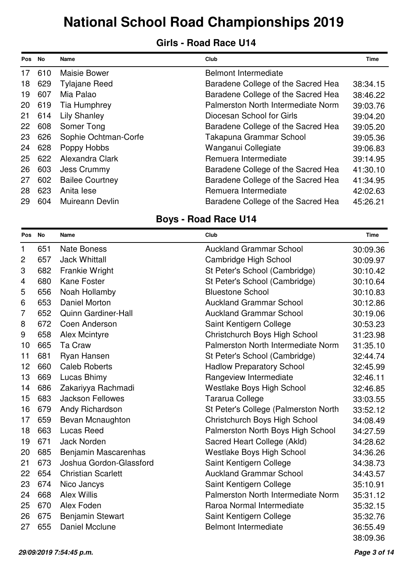#### **Girls - Road Race U14**

| <b>Pos</b> | No  | <b>Name</b>            | Club                               | <b>Time</b> |
|------------|-----|------------------------|------------------------------------|-------------|
| 17         | 610 | <b>Maisie Bower</b>    | <b>Belmont Intermediate</b>        |             |
| 18         | 629 | <b>Tylajane Reed</b>   | Baradene College of the Sacred Hea | 38:34.15    |
| 19         | 607 | Mia Palao              | Baradene College of the Sacred Hea | 38:46.22    |
| 20         | 619 | Tia Humphrey           | Palmerston North Intermediate Norm | 39:03.76    |
| 21         | 614 | <b>Lily Shanley</b>    | Diocesan School for Girls          | 39:04.20    |
| 22         | 608 | Somer Tong             | Baradene College of the Sacred Hea | 39:05.20    |
| 23         | 626 | Sophie Ochtman-Corfe   | Takapuna Grammar School            | 39:05.36    |
| 24         | 628 | Poppy Hobbs            | Wanganui Collegiate                | 39:06.83    |
| 25         | 622 | Alexandra Clark        | Remuera Intermediate               | 39:14.95    |
| 26         | 603 | Jess Crummy            | Baradene College of the Sacred Hea | 41:30.10    |
| 27         | 602 | <b>Bailee Courtney</b> | Baradene College of the Sacred Hea | 41:34.95    |
| 28         | 623 | Anita lese             | Remuera Intermediate               | 42:02.63    |
| 29         | 604 | Muireann Devlin        | Baradene College of the Sacred Hea | 45:26.21    |

| Pos No         |     | Name                       | Club                                  | <b>Time</b> |
|----------------|-----|----------------------------|---------------------------------------|-------------|
| 1              | 651 | <b>Nate Boness</b>         | <b>Auckland Grammar School</b>        | 30:09.36    |
| $\overline{c}$ | 657 | <b>Jack Whittall</b>       | Cambridge High School                 | 30:09.97    |
| 3              | 682 | <b>Frankie Wright</b>      | St Peter's School (Cambridge)         | 30:10.42    |
| 4              | 680 | <b>Kane Foster</b>         | St Peter's School (Cambridge)         | 30:10.64    |
| 5              | 656 | Noah Hollamby              | <b>Bluestone School</b>               | 30:10.83    |
| 6              | 653 | Daniel Morton              | <b>Auckland Grammar School</b>        | 30:12.86    |
| 7              | 652 | <b>Quinn Gardiner-Hall</b> | <b>Auckland Grammar School</b>        | 30:19.06    |
| 8              | 672 | Coen Anderson              | Saint Kentigern College               | 30:53.23    |
| 9              | 658 | <b>Alex Mcintyre</b>       | Christchurch Boys High School         | 31:23.98    |
| 10             | 665 | Ta Craw                    | Palmerston North Intermediate Norm    | 31:35.10    |
| 11             | 681 | Ryan Hansen                | St Peter's School (Cambridge)         | 32:44.74    |
| 12             | 660 | <b>Caleb Roberts</b>       | <b>Hadlow Preparatory School</b>      | 32:45.99    |
| 13             | 669 | Lucas Bhimy                | Rangeview Intermediate                | 32:46.11    |
| 14             | 686 | Zakariyya Rachmadi         | <b>Westlake Boys High School</b>      | 32:46.85    |
| 15             | 683 | <b>Jackson Fellowes</b>    | <b>Tararua College</b>                | 33:03.55    |
| 16             | 679 | Andy Richardson            | St Peter's College (Palmerston North) | 33:52.12    |
| 17             | 659 | Bevan Mcnaughton           | Christchurch Boys High School         | 34:08.49    |
| 18             | 663 | <b>Lucas Reed</b>          | Palmerston North Boys High School     | 34:27.59    |
| 19             | 671 | <b>Jack Norden</b>         | Sacred Heart College (Akld)           | 34:28.62    |
| 20             | 685 | Benjamin Mascarenhas       | Westlake Boys High School             | 34:36.26    |
| 21             | 673 | Joshua Gordon-Glassford    | Saint Kentigern College               | 34:38.73    |
| 22             | 654 | <b>Christian Scarlett</b>  | <b>Auckland Grammar School</b>        | 34:43.57    |
| 23             | 674 | Nico Jancys                | Saint Kentigern College               | 35:10.91    |
| 24             | 668 | <b>Alex Willis</b>         | Palmerston North Intermediate Norm    | 35:31.12    |
| 25             | 670 | Alex Foden                 | Raroa Normal Intermediate             | 35:32.15    |
| 26             | 675 | <b>Benjamin Stewart</b>    | Saint Kentigern College               | 35:32.76    |
| 27             | 655 | <b>Daniel Mcclune</b>      | <b>Belmont Intermediate</b>           | 36:55.49    |
|                |     |                            |                                       | 38:09.36    |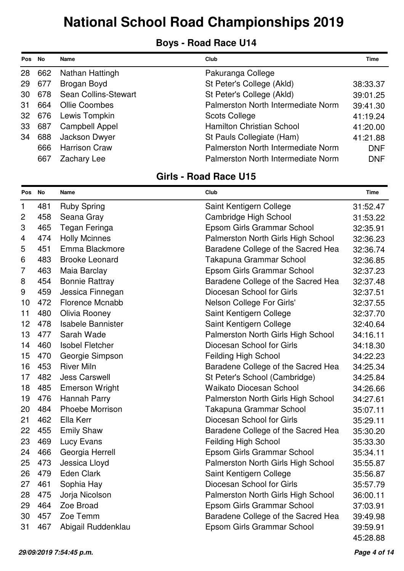### **Boys - Road Race U14**

| <b>Pos</b> | No     | Name                  | Club                               | Time       |
|------------|--------|-----------------------|------------------------------------|------------|
| 28         | 662    | Nathan Hattingh       | Pakuranga College                  |            |
| 29         | 677    | Brogan Boyd           | St Peter's College (Akld)          | 38:33.37   |
| 30         | 678    | Sean Collins-Stewart  | St Peter's College (Akld)          | 39:01.25   |
| -31        | 664    | <b>Ollie Coombes</b>  | Palmerston North Intermediate Norm | 39:41.30   |
|            | 32 676 | Lewis Tompkin         | <b>Scots College</b>               | 41:19.24   |
| 33         | 687    | <b>Campbell Appel</b> | Hamilton Christian School          | 41:20.00   |
| 34         | 688    | Jackson Dwyer         | St Pauls Collegiate (Ham)          | 41:21.88   |
|            | 666    | <b>Harrison Craw</b>  | Palmerston North Intermediate Norm | <b>DNF</b> |
|            | 667    | Zachary Lee           | Palmerston North Intermediate Norm | <b>DNF</b> |

| Pos No         |     | Name                     | Club                               | Time     |
|----------------|-----|--------------------------|------------------------------------|----------|
| 1              | 481 | <b>Ruby Spring</b>       | Saint Kentigern College            | 31:52.47 |
| $\mathbf{2}$   | 458 | Seana Gray               | Cambridge High School              | 31:53.22 |
| 3              | 465 | Tegan Feringa            | Epsom Girls Grammar School         | 32:35.91 |
| 4              | 474 | <b>Holly Mcinnes</b>     | Palmerston North Girls High School | 32:36.23 |
| 5              | 451 | Emma Blackmore           | Baradene College of the Sacred Hea | 32:36.74 |
| 6              | 483 | <b>Brooke Leonard</b>    | Takapuna Grammar School            | 32:36.85 |
| $\overline{7}$ | 463 | Maia Barclay             | Epsom Girls Grammar School         | 32:37.23 |
| 8              | 454 | <b>Bonnie Rattray</b>    | Baradene College of the Sacred Hea | 32:37.48 |
| 9              | 459 | Jessica Finnegan         | Diocesan School for Girls          | 32:37.51 |
| 10             | 472 | Florence Mcnabb          | Nelson College For Girls'          | 32:37.55 |
| 11             | 480 | Olivia Rooney            | Saint Kentigern College            | 32:37.70 |
| 12             | 478 | <b>Isabele Bannister</b> | Saint Kentigern College            | 32:40.64 |
| 13             | 477 | Sarah Wade               | Palmerston North Girls High School | 34:16.11 |
| 14             | 460 | <b>Isobel Fletcher</b>   | Diocesan School for Girls          | 34:18.30 |
| 15             | 470 | Georgie Simpson          | <b>Feilding High School</b>        | 34:22.23 |
| 16             | 453 | <b>River Miln</b>        | Baradene College of the Sacred Hea | 34:25.34 |
| 17             | 482 | <b>Jess Carswell</b>     | St Peter's School (Cambridge)      | 34:25.84 |
| 18             | 485 | <b>Emerson Wright</b>    | <b>Waikato Diocesan School</b>     | 34:26.66 |
| 19             | 476 | Hannah Parry             | Palmerston North Girls High School | 34:27.61 |
| 20             | 484 | <b>Phoebe Morrison</b>   | Takapuna Grammar School            | 35:07.11 |
| 21             | 462 | Ella Kerr                | Diocesan School for Girls          | 35:29.11 |
| 22             | 455 | <b>Emily Shaw</b>        | Baradene College of the Sacred Hea | 35:30.20 |
| 23             | 469 | Lucy Evans               | <b>Feilding High School</b>        | 35:33.30 |
| 24             | 466 | Georgia Herrell          | Epsom Girls Grammar School         | 35:34.11 |
| 25             | 473 | Jessica Lloyd            | Palmerston North Girls High School | 35:55.87 |
| 26             | 479 | <b>Eden Clark</b>        | Saint Kentigern College            | 35:56.87 |
| 27             | 461 | Sophia Hay               | Diocesan School for Girls          | 35:57.79 |
| 28             | 475 | Jorja Nicolson           | Palmerston North Girls High School | 36:00.11 |
| 29             | 464 | Zoe Broad                | Epsom Girls Grammar School         | 37:03.91 |
| 30             | 457 | Zoe Temm                 | Baradene College of the Sacred Hea | 39:49.98 |
| 31             | 467 | Abigail Ruddenklau       | Epsom Girls Grammar School         | 39:59.91 |
|                |     |                          |                                    | 45:28.88 |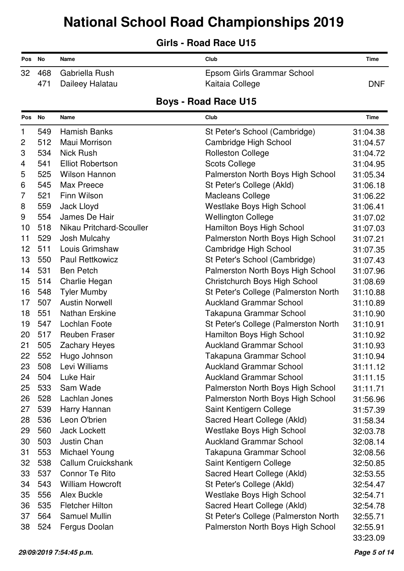### **Girls - Road Race U15**

| Pos No |     | Name                  | Club                       | Time       |
|--------|-----|-----------------------|----------------------------|------------|
|        |     | 32 468 Gabriella Rush | Epsom Girls Grammar School |            |
|        | 471 | Daileey Halatau       | Kaitaia College            | <b>DNF</b> |

| Pos No         |     | Name                     | Club                                  | Time     |
|----------------|-----|--------------------------|---------------------------------------|----------|
| $\mathbf{1}$   | 549 | <b>Hamish Banks</b>      | St Peter's School (Cambridge)         | 31:04.38 |
| $\overline{c}$ | 512 | Maui Morrison            | Cambridge High School                 | 31:04.57 |
| 3              | 534 | <b>Nick Rush</b>         | <b>Rolleston College</b>              | 31:04.72 |
| 4              | 541 | <b>Elliot Robertson</b>  | <b>Scots College</b>                  | 31:04.95 |
| 5              | 525 | <b>Wilson Hannon</b>     | Palmerston North Boys High School     | 31:05.34 |
| 6              | 545 | Max Preece               | St Peter's College (Akld)             | 31:06.18 |
| $\overline{7}$ | 521 | Finn Wilson              | <b>Macleans College</b>               | 31:06.22 |
| 8              | 559 | Jack Lloyd               | <b>Westlake Boys High School</b>      | 31:06.41 |
| 9              | 554 | James De Hair            | <b>Wellington College</b>             | 31:07.02 |
| 10             | 518 | Nikau Pritchard-Scouller | Hamilton Boys High School             | 31:07.03 |
| 11             | 529 | Josh Mulcahy             | Palmerston North Boys High School     | 31:07.21 |
| 12             | 511 | Louis Grimshaw           | Cambridge High School                 | 31:07.35 |
| 13             | 550 | <b>Paul Rettkowicz</b>   | St Peter's School (Cambridge)         | 31:07.43 |
| 14             | 531 | <b>Ben Petch</b>         | Palmerston North Boys High School     | 31:07.96 |
| 15             | 514 | Charlie Hegan            | Christchurch Boys High School         | 31:08.69 |
| 16             | 548 | <b>Tyler Mumby</b>       | St Peter's College (Palmerston North) | 31:10.88 |
| 17             | 507 | <b>Austin Norwell</b>    | <b>Auckland Grammar School</b>        | 31:10.89 |
| 18             | 551 | <b>Nathan Erskine</b>    | Takapuna Grammar School               | 31:10.90 |
| 19             | 547 | Lochlan Foote            | St Peter's College (Palmerston North) | 31:10.91 |
| 20             | 517 | <b>Reuben Fraser</b>     | Hamilton Boys High School             | 31:10.92 |
| 21             | 505 | <b>Zachary Heyes</b>     | <b>Auckland Grammar School</b>        | 31:10.93 |
| 22             | 552 | Hugo Johnson             | Takapuna Grammar School               | 31:10.94 |
| 23             | 508 | Levi Williams            | <b>Auckland Grammar School</b>        | 31:11.12 |
| 24             | 504 | Luke Hair                | <b>Auckland Grammar School</b>        | 31:11.15 |
| 25             | 533 | Sam Wade                 | Palmerston North Boys High School     | 31:11.71 |
| 26             | 528 | Lachlan Jones            | Palmerston North Boys High School     | 31:56.96 |
| 27             | 539 | Harry Hannan             | Saint Kentigern College               | 31:57.39 |
| 28             | 536 | Leon O'brien             | Sacred Heart College (Akld)           | 31:58.34 |
| 29             | 560 | <b>Jack Lockett</b>      | Westlake Boys High School             | 32:03.78 |
| 30             | 503 | Justin Chan              | <b>Auckland Grammar School</b>        | 32:08.14 |
| 31             | 553 | Michael Young            | Takapuna Grammar School               | 32:08.56 |
| 32             | 538 | Callum Cruickshank       | Saint Kentigern College               | 32:50.85 |
| 33             | 537 | <b>Connor Te Rito</b>    | Sacred Heart College (Akld)           | 32:53.55 |
| 34             | 543 | <b>William Howcroft</b>  | St Peter's College (Akld)             | 32:54.47 |
| 35             | 556 | Alex Buckle              | Westlake Boys High School             | 32:54.71 |
| 36             | 535 | <b>Fletcher Hilton</b>   | Sacred Heart College (Akld)           | 32:54.78 |
| 37             | 564 | <b>Samuel Mullin</b>     | St Peter's College (Palmerston North) | 32:55.71 |
| 38             | 524 | Fergus Doolan            | Palmerston North Boys High School     | 32:55.91 |
|                |     |                          |                                       | 33:23.09 |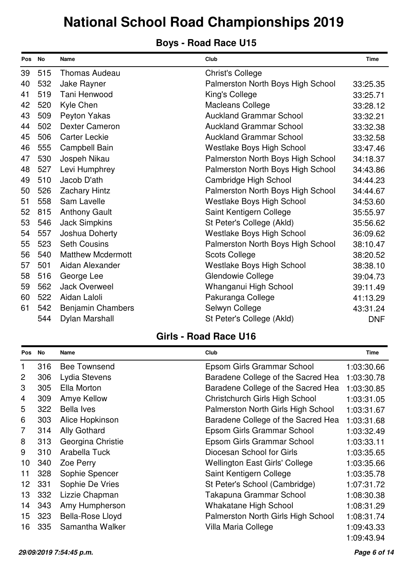### **Boys - Road Race U15**

| Pos No |     | <b>Name</b>              | Club                              | <b>Time</b> |
|--------|-----|--------------------------|-----------------------------------|-------------|
| 39     | 515 | <b>Thomas Audeau</b>     | <b>Christ's College</b>           |             |
| 40     | 532 | Jake Rayner              | Palmerston North Boys High School | 33:25.35    |
| 41     | 519 | Tani Henwood             | King's College                    | 33:25.71    |
| 42     | 520 | Kyle Chen                | <b>Macleans College</b>           | 33:28.12    |
| 43     | 509 | Peyton Yakas             | <b>Auckland Grammar School</b>    | 33:32.21    |
| 44     | 502 | <b>Dexter Cameron</b>    | <b>Auckland Grammar School</b>    | 33:32.38    |
| 45     | 506 | <b>Carter Leckie</b>     | <b>Auckland Grammar School</b>    | 33:32.58    |
| 46     | 555 | Campbell Bain            | <b>Westlake Boys High School</b>  | 33:47.46    |
| 47     | 530 | Jospeh Nikau             | Palmerston North Boys High School | 34:18.37    |
| 48     | 527 | Levi Humphrey            | Palmerston North Boys High School | 34:43.86    |
| 49     | 510 | Jacob D'ath              | Cambridge High School             | 34:44.23    |
| 50     | 526 | <b>Zachary Hintz</b>     | Palmerston North Boys High School | 34:44.67    |
| 51     | 558 | Sam Lavelle              | <b>Westlake Boys High School</b>  | 34:53.60    |
| 52     | 815 | <b>Anthony Gault</b>     | Saint Kentigern College           | 35:55.97    |
| 53     | 546 | <b>Jack Simpkins</b>     | St Peter's College (Akld)         | 35:56.62    |
| 54     | 557 | Joshua Doherty           | <b>Westlake Boys High School</b>  | 36:09.62    |
| 55     | 523 | <b>Seth Cousins</b>      | Palmerston North Boys High School | 38:10.47    |
| 56     | 540 | <b>Matthew Mcdermott</b> | <b>Scots College</b>              | 38:20.52    |
| 57     | 501 | Aidan Alexander          | <b>Westlake Boys High School</b>  | 38:38.10    |
| 58     | 516 | George Lee               | Glendowie College                 | 39:04.73    |
| 59     | 562 | <b>Jack Overweel</b>     | Whanganui High School             | 39:11.49    |
| 60     | 522 | Aidan Laloli             | Pakuranga College                 | 41:13.29    |
| 61     | 542 | <b>Benjamin Chambers</b> | Selwyn College                    | 43:31.24    |
|        | 544 | Dylan Marshall           | St Peter's College (Akld)         | <b>DNF</b>  |

| <b>Pos</b>     | <b>No</b> | Name                | Club                                  | <b>Time</b> |
|----------------|-----------|---------------------|---------------------------------------|-------------|
| 1              | 316       | <b>Bee Townsend</b> | Epsom Girls Grammar School            | 1:03:30.66  |
| 2              | 306       | Lydia Stevens       | Baradene College of the Sacred Hea    | 1:03:30.78  |
| 3              | 305       | Ella Morton         | Baradene College of the Sacred Hea    | 1:03:30.85  |
| $\overline{4}$ | 309       | <b>Amye Kellow</b>  | <b>Christchurch Girls High School</b> | 1:03:31.05  |
| 5              | 322       | Bella Ives          | Palmerston North Girls High School    | 1:03:31.67  |
| 6              | 303       | Alice Hopkinson     | Baradene College of the Sacred Hea    | 1:03:31.68  |
| $\overline{7}$ | 314       | Ally Gothard        | Epsom Girls Grammar School            | 1:03:32.49  |
| 8              | 313       | Georgina Christie   | Epsom Girls Grammar School            | 1:03:33.11  |
| 9              | 310       | Arabella Tuck       | Diocesan School for Girls             | 1:03:35.65  |
| 10             | 340       | Zoe Perry           | <b>Wellington East Girls' College</b> | 1:03:35.66  |
| 11             | 328       | Sophie Spencer      | Saint Kentigern College               | 1:03:35.78  |
| 12             | 331       | Sophie De Vries     | St Peter's School (Cambridge)         | 1:07:31.72  |
| 13             | 332       | Lizzie Chapman      | Takapuna Grammar School               | 1:08:30.38  |
| 14             | 343       | Amy Humpherson      | <b>Whakatane High School</b>          | 1:08:31.29  |
| 15             | 323       | Bella-Rose Lloyd    | Palmerston North Girls High School    | 1:08:31.74  |
| 16             | 335       | Samantha Walker     | Villa Maria College                   | 1:09:43.33  |
|                |           |                     |                                       | 1:09:43.94  |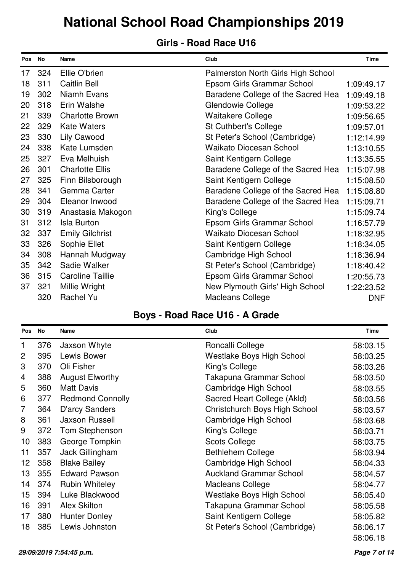### **Girls - Road Race U16**

| Pos No |     | <b>Name</b>             | Club                               | <b>Time</b> |
|--------|-----|-------------------------|------------------------------------|-------------|
| 17     | 324 | Ellie O'brien           | Palmerston North Girls High School |             |
| 18     | 311 | <b>Caitlin Bell</b>     | Epsom Girls Grammar School         | 1:09:49.17  |
| 19     | 302 | Niamh Evans             | Baradene College of the Sacred Hea | 1:09:49.18  |
| 20     | 318 | Erin Walshe             | Glendowie College                  | 1:09:53.22  |
| 21     | 339 | <b>Charlotte Brown</b>  | <b>Waitakere College</b>           | 1:09:56.65  |
| 22     | 329 | <b>Kate Waters</b>      | <b>St Cuthbert's College</b>       | 1:09:57.01  |
| 23     | 330 | <b>Lily Cawood</b>      | St Peter's School (Cambridge)      | 1:12:14.99  |
| 24     | 338 | Kate Lumsden            | <b>Waikato Diocesan School</b>     | 1:13:10.55  |
| 25     | 327 | Eva Melhuish            | Saint Kentigern College            | 1:13:35.55  |
| 26     | 301 | <b>Charlotte Ellis</b>  | Baradene College of the Sacred Hea | 1:15:07.98  |
| 27     | 325 | Finn Bilsborough        | Saint Kentigern College            | 1:15:08.50  |
| 28     | 341 | Gemma Carter            | Baradene College of the Sacred Hea | 1:15:08.80  |
| 29     | 304 | Eleanor Inwood          | Baradene College of the Sacred Hea | 1:15:09.71  |
| 30     | 319 | Anastasia Makogon       | King's College                     | 1:15:09.74  |
| 31     | 312 | <b>Isla Burton</b>      | Epsom Girls Grammar School         | 1:16:57.79  |
| 32     | 337 | <b>Emily Gilchrist</b>  | Waikato Diocesan School            | 1:18:32.95  |
| 33     | 326 | Sophie Ellet            | Saint Kentigern College            | 1:18:34.05  |
| 34     | 308 | Hannah Mudgway          | Cambridge High School              | 1:18:36.94  |
| 35     | 342 | Sadie Walker            | St Peter's School (Cambridge)      | 1:18:40.42  |
| 36     | 315 | <b>Caroline Taillie</b> | Epsom Girls Grammar School         | 1:20:55.73  |
| 37     | 321 | Millie Wright           | New Plymouth Girls' High School    | 1:22:23.52  |
|        | 320 | Rachel Yu               | <b>Macleans College</b>            | <b>DNF</b>  |

### **Boys - Road Race U16 - A Grade**

| Pos             | No  | Name                    | Club                             | <b>Time</b> |
|-----------------|-----|-------------------------|----------------------------------|-------------|
| $\mathbf{1}$    | 376 | Jaxson Whyte            | Roncalli College                 | 58:03.15    |
| $\overline{2}$  | 395 | Lewis Bower             | <b>Westlake Boys High School</b> | 58:03.25    |
| 3               | 370 | Oli Fisher              | King's College                   | 58:03.26    |
| 4               | 388 | <b>August Elworthy</b>  | Takapuna Grammar School          | 58:03.50    |
| 5               | 360 | <b>Matt Davis</b>       | Cambridge High School            | 58:03.55    |
| 6               | 377 | <b>Redmond Connolly</b> | Sacred Heart College (Akld)      | 58:03.56    |
| 7               | 364 | D'arcy Sanders          | Christchurch Boys High School    | 58:03.57    |
| 8               | 361 | <b>Jaxson Russell</b>   | Cambridge High School            | 58:03.68    |
| 9               | 372 | Tom Stephenson          | King's College                   | 58:03.71    |
| 10              | 383 | George Tompkin          | <b>Scots College</b>             | 58:03.75    |
| 11              | 357 | Jack Gillingham         | <b>Bethlehem College</b>         | 58:03.94    |
| 12 <sup>2</sup> | 358 | <b>Blake Bailey</b>     | Cambridge High School            | 58:04.33    |
| 13              | 355 | <b>Edward Pawson</b>    | <b>Auckland Grammar School</b>   | 58:04.57    |
| 14              | 374 | <b>Rubin Whiteley</b>   | <b>Macleans College</b>          | 58:04.77    |
| 15              | 394 | Luke Blackwood          | <b>Westlake Boys High School</b> | 58:05.40    |
| 16              | 391 | <b>Alex Skilton</b>     | Takapuna Grammar School          | 58:05.58    |
| 17              | 380 | <b>Hunter Donley</b>    | Saint Kentigern College          | 58:05.82    |
| 18              | 385 | Lewis Johnston          | St Peter's School (Cambridge)    | 58:06.17    |
|                 |     |                         |                                  | 58:06.18    |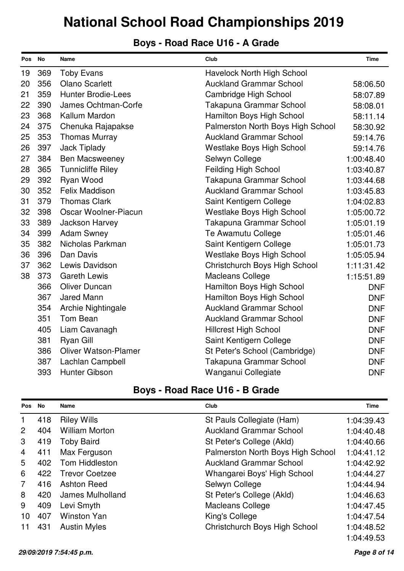### **Boys - Road Race U16 - A Grade**

| Pos | No  | <b>Name</b>                 | Club                              | <b>Time</b> |
|-----|-----|-----------------------------|-----------------------------------|-------------|
| 19  | 369 | <b>Toby Evans</b>           | Havelock North High School        |             |
| 20  | 356 | <b>Olano Scarlett</b>       | <b>Auckland Grammar School</b>    | 58:06.50    |
| 21  | 359 | <b>Hunter Brodie-Lees</b>   | <b>Cambridge High School</b>      | 58:07.89    |
| 22  | 390 | James Ochtman-Corfe         | Takapuna Grammar School           | 58:08.01    |
| 23  | 368 | Kallum Mardon               | Hamilton Boys High School         | 58:11.14    |
| 24  | 375 | Chenuka Rajapakse           | Palmerston North Boys High School | 58:30.92    |
| 25  | 353 | <b>Thomas Murray</b>        | <b>Auckland Grammar School</b>    | 59:14.76    |
| 26  | 397 | <b>Jack Tiplady</b>         | Westlake Boys High School         | 59:14.76    |
| 27  | 384 | <b>Ben Macsweeney</b>       | Selwyn College                    | 1:00:48.40  |
| 28  | 365 | <b>Tunnicliffe Riley</b>    | Feilding High School              | 1:03:40.87  |
| 29  | 392 | Ryan Wood                   | Takapuna Grammar School           | 1:03:44.68  |
| 30  | 352 | <b>Felix Maddison</b>       | <b>Auckland Grammar School</b>    | 1:03:45.83  |
| 31  | 379 | <b>Thomas Clark</b>         | Saint Kentigern College           | 1:04:02.83  |
| 32  | 398 | Oscar Woolner-Piacun        | Westlake Boys High School         | 1:05:00.72  |
| 33  | 389 | Jackson Harvey              | Takapuna Grammar School           | 1:05:01.19  |
| 34  | 399 | <b>Adam Swney</b>           | Te Awamutu College                | 1:05:01.46  |
| 35  | 382 | Nicholas Parkman            | Saint Kentigern College           | 1:05:01.73  |
| 36  | 396 | Dan Davis                   | <b>Westlake Boys High School</b>  | 1:05:05.94  |
| 37  | 362 | Lewis Davidson              | Christchurch Boys High School     | 1:11:31.42  |
| 38  | 373 | <b>Gareth Lewis</b>         | <b>Macleans College</b>           | 1:15:51.89  |
|     | 366 | <b>Oliver Duncan</b>        | Hamilton Boys High School         | <b>DNF</b>  |
|     | 367 | <b>Jared Mann</b>           | Hamilton Boys High School         | <b>DNF</b>  |
|     | 354 | Archie Nightingale          | <b>Auckland Grammar School</b>    | <b>DNF</b>  |
|     | 351 | Tom Bean                    | <b>Auckland Grammar School</b>    | <b>DNF</b>  |
|     | 405 | Liam Cavanagh               | <b>Hillcrest High School</b>      | <b>DNF</b>  |
|     | 381 | Ryan Gill                   | Saint Kentigern College           | <b>DNF</b>  |
|     | 386 | <b>Oliver Watson-Plamer</b> | St Peter's School (Cambridge)     | <b>DNF</b>  |
|     | 387 | Lachlan Campbell            | Takapuna Grammar School           | <b>DNF</b>  |
|     | 393 | Hunter Gibson               | Wanganui Collegiate               | <b>DNF</b>  |

### **Boys - Road Race U16 - B Grade**

| Pos            | No  | <b>Name</b>           | Club                              | <b>Time</b> |
|----------------|-----|-----------------------|-----------------------------------|-------------|
| 1              | 418 | <b>Riley Wills</b>    | St Pauls Collegiate (Ham)         | 1:04:39.43  |
| $\overline{2}$ | 404 | <b>William Morton</b> | <b>Auckland Grammar School</b>    | 1:04:40.48  |
| 3              | 419 | <b>Toby Baird</b>     | St Peter's College (Akld)         | 1:04:40.66  |
| $\overline{4}$ | 411 | Max Ferguson          | Palmerston North Boys High School | 1:04:41.12  |
| 5              | 402 | Tom Hiddleston        | <b>Auckland Grammar School</b>    | 1:04:42.92  |
| 6              | 422 | <b>Trevor Coetzee</b> | Whangarei Boys' High School       | 1:04:44.27  |
| $\overline{7}$ | 416 | <b>Ashton Reed</b>    | Selwyn College                    | 1:04:44.94  |
| 8              | 420 | James Mulholland      | St Peter's College (Akld)         | 1:04:46.63  |
| 9              | 409 | Levi Smyth            | <b>Macleans College</b>           | 1:04:47.45  |
| 10             | 407 | <b>Winston Yan</b>    | King's College                    | 1:04:47.54  |
|                | 431 | <b>Austin Myles</b>   | Christchurch Boys High School     | 1:04:48.52  |
|                |     |                       |                                   | 1:04:49.53  |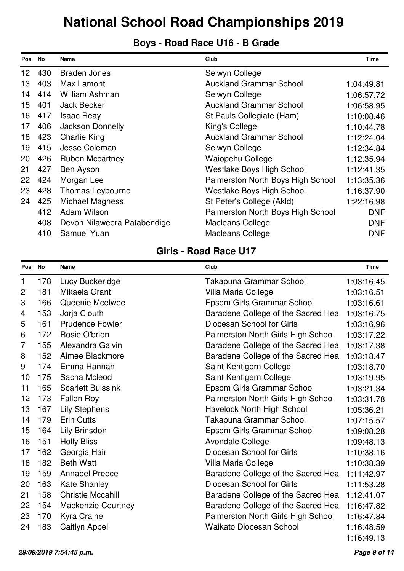### **Boys - Road Race U16 - B Grade**

| <b>Pos</b>      | <b>No</b> | Name                        | Club                              | Time       |
|-----------------|-----------|-----------------------------|-----------------------------------|------------|
| 12 <sup>1</sup> | 430       | Braden Jones                | Selwyn College                    |            |
| 13              | 403       | Max Lamont                  | <b>Auckland Grammar School</b>    | 1:04:49.81 |
| 14              | 414       | William Ashman              | Selwyn College                    | 1:06:57.72 |
| 15              | 401       | <b>Jack Becker</b>          | <b>Auckland Grammar School</b>    | 1:06:58.95 |
| 16              | 417       | <b>Isaac Reay</b>           | St Pauls Collegiate (Ham)         | 1:10:08.46 |
| 17              | 406       | Jackson Donnelly            | King's College                    | 1:10:44.78 |
| 18              | 423       | <b>Charlie King</b>         | <b>Auckland Grammar School</b>    | 1:12:24.04 |
| 19              | 415       | Jesse Coleman               | Selwyn College                    | 1:12:34.84 |
| 20              | 426       | <b>Ruben Mccartney</b>      | Waiopehu College                  | 1:12:35.94 |
| 21              | 427       | Ben Ayson                   | Westlake Boys High School         | 1:12:41.35 |
| 22              | 424       | Morgan Lee                  | Palmerston North Boys High School | 1:13:35.36 |
| 23              | 428       | <b>Thomas Leybourne</b>     | Westlake Boys High School         | 1:16:37.90 |
| 24              | 425       | Michael Magness             | St Peter's College (Akld)         | 1:22:16.98 |
|                 | 412       | Adam Wilson                 | Palmerston North Boys High School | <b>DNF</b> |
|                 | 408       | Devon Nilaweera Patabendige | <b>Macleans College</b>           | <b>DNF</b> |
|                 | 410       | <b>Samuel Yuan</b>          | <b>Macleans College</b>           | <b>DNF</b> |

| <b>Pos</b>     | No  | <b>Name</b>               | Club                               | <b>Time</b> |
|----------------|-----|---------------------------|------------------------------------|-------------|
| $\mathbf{1}$   | 178 | Lucy Buckeridge           | Takapuna Grammar School            | 1:03:16.45  |
| $\overline{2}$ | 181 | Mikaela Grant             | Villa Maria College                | 1:03:16.51  |
| 3              | 166 | Queenie Mcelwee           | Epsom Girls Grammar School         | 1:03:16.61  |
| 4              | 153 | Jorja Clouth              | Baradene College of the Sacred Hea | 1:03:16.75  |
| 5              | 161 | <b>Prudence Fowler</b>    | Diocesan School for Girls          | 1:03:16.96  |
| 6              | 172 | Rosie O'brien             | Palmerston North Girls High School | 1:03:17.22  |
| 7              | 155 | Alexandra Galvin          | Baradene College of the Sacred Hea | 1:03:17.38  |
| 8              | 152 | Aimee Blackmore           | Baradene College of the Sacred Hea | 1:03:18.47  |
| 9              | 174 | Emma Hannan               | Saint Kentigern College            | 1:03:18.70  |
| 10             | 175 | Sacha Mcleod              | Saint Kentigern College            | 1:03:19.95  |
| 11             | 165 | <b>Scarlett Buissink</b>  | Epsom Girls Grammar School         | 1:03:21.34  |
| 12             | 173 | Fallon Roy                | Palmerston North Girls High School | 1:03:31.78  |
| 13             | 167 | <b>Lily Stephens</b>      | <b>Havelock North High School</b>  | 1:05:36.21  |
| 14             | 179 | <b>Erin Cutts</b>         | Takapuna Grammar School            | 1:07:15.57  |
| 15             | 164 | Lily Brinsdon             | Epsom Girls Grammar School         | 1:09:08.28  |
| 16             | 151 | <b>Holly Bliss</b>        | Avondale College                   | 1:09:48.13  |
| 17             | 162 | Georgia Hair              | Diocesan School for Girls          | 1:10:38.16  |
| 18             | 182 | <b>Beth Watt</b>          | Villa Maria College                | 1:10:38.39  |
| 19             | 159 | <b>Annabel Preece</b>     | Baradene College of the Sacred Hea | 1:11:42.97  |
| 20             | 163 | <b>Kate Shanley</b>       | Diocesan School for Girls          | 1:11:53.28  |
| 21             | 158 | <b>Christie Mccahill</b>  | Baradene College of the Sacred Hea | 1:12:41.07  |
| 22             | 154 | <b>Mackenzie Courtney</b> | Baradene College of the Sacred Hea | 1:16:47.82  |
| 23             | 170 | Kyra Craine               | Palmerston North Girls High School | 1:16:47.84  |
| 24             | 183 | Caitlyn Appel             | <b>Waikato Diocesan School</b>     | 1:16:48.59  |
|                |     |                           |                                    | 1:16:49.13  |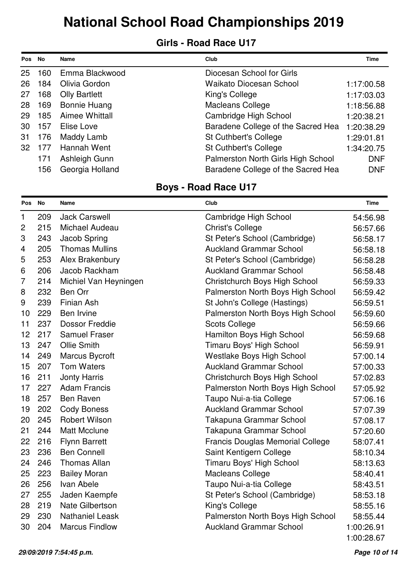#### **Girls - Road Race U17**

| <b>Pos</b> | <b>No</b> | <b>Name</b>          | Club                               | Time       |
|------------|-----------|----------------------|------------------------------------|------------|
| 25         | 160       | Emma Blackwood       | Diocesan School for Girls          |            |
| 26         | 184       | Olivia Gordon        | <b>Waikato Diocesan School</b>     | 1:17:00.58 |
| 27         | 168       | <b>Olly Bartlett</b> | King's College                     | 1:17:03.03 |
| 28         | 169       | <b>Bonnie Huang</b>  | <b>Macleans College</b>            | 1:18:56.88 |
| 29         | 185       | Aimee Whittall       | Cambridge High School              | 1:20:38.21 |
| 30         | 157       | Elise Love           | Baradene College of the Sacred Hea | 1:20:38.29 |
| 31         | 176       | Maddy Lamb           | <b>St Cuthbert's College</b>       | 1:29:01.81 |
| 32         | 177       | Hannah Went          | <b>St Cuthbert's College</b>       | 1:34:20.75 |
|            | 171       | Ashleigh Gunn        | Palmerston North Girls High School | <b>DNF</b> |
|            | 156       | Georgia Holland      | Baradene College of the Sacred Hea | <b>DNF</b> |

| Pos No         |     | Name                   | Club                                    | <b>Time</b> |
|----------------|-----|------------------------|-----------------------------------------|-------------|
| $\mathbf{1}$   | 209 | <b>Jack Carswell</b>   | Cambridge High School                   | 54:56.98    |
| $\overline{c}$ | 215 | Michael Audeau         | <b>Christ's College</b>                 | 56:57.66    |
| 3              | 243 | Jacob Spring           | St Peter's School (Cambridge)           | 56:58.17    |
| 4              | 205 | <b>Thomas Mullins</b>  | <b>Auckland Grammar School</b>          | 56:58.18    |
| 5              | 253 | Alex Brakenbury        | St Peter's School (Cambridge)           | 56:58.28    |
| 6              | 206 | Jacob Rackham          | <b>Auckland Grammar School</b>          | 56:58.48    |
| 7              | 214 | Michiel Van Heyningen  | Christchurch Boys High School           | 56:59.33    |
| 8              | 232 | <b>Ben Orr</b>         | Palmerston North Boys High School       | 56:59.42    |
| 9              | 239 | <b>Finian Ash</b>      | St John's College (Hastings)            | 56:59.51    |
| 10             | 229 | Ben Irvine             | Palmerston North Boys High School       | 56:59.60    |
| 11             | 237 | <b>Dossor Freddie</b>  | <b>Scots College</b>                    | 56:59.66    |
| 12             | 217 | <b>Samuel Fraser</b>   | Hamilton Boys High School               | 56:59.68    |
| 13             | 247 | <b>Ollie Smith</b>     | Timaru Boys' High School                | 56:59.91    |
| 14             | 249 | Marcus Bycroft         | Westlake Boys High School               | 57:00.14    |
| 15             | 207 | <b>Tom Waters</b>      | <b>Auckland Grammar School</b>          | 57:00.33    |
| 16             | 211 | <b>Jonty Harris</b>    | Christchurch Boys High School           | 57:02.83    |
| 17             | 227 | <b>Adam Francis</b>    | Palmerston North Boys High School       | 57:05.92    |
| 18             | 257 | <b>Ben Raven</b>       | Taupo Nui-a-tia College                 | 57:06.16    |
| 19             | 202 | <b>Cody Boness</b>     | <b>Auckland Grammar School</b>          | 57:07.39    |
| 20             | 245 | <b>Robert Wilson</b>   | Takapuna Grammar School                 | 57:08.17    |
| 21             | 244 | <b>Matt Mcclune</b>    | Takapuna Grammar School                 | 57:20.60    |
| 22             | 216 | <b>Flynn Barrett</b>   | <b>Francis Douglas Memorial College</b> | 58:07.41    |
| 23             | 236 | <b>Ben Connell</b>     | Saint Kentigern College                 | 58:10.34    |
| 24             | 246 | <b>Thomas Allan</b>    | Timaru Boys' High School                | 58:13.63    |
| 25             | 223 | <b>Bailey Moran</b>    | <b>Macleans College</b>                 | 58:40.41    |
| 26             | 256 | Ivan Abele             | Taupo Nui-a-tia College                 | 58:43.51    |
| 27             | 255 | Jaden Kaempfe          | St Peter's School (Cambridge)           | 58:53.18    |
| 28             | 219 | <b>Nate Gilbertson</b> | King's College                          | 58:55.16    |
| 29             | 230 | <b>Nathaniel Leask</b> | Palmerston North Boys High School       | 58:55.44    |
| 30             | 204 | <b>Marcus Findlow</b>  | <b>Auckland Grammar School</b>          | 1:00:26.91  |
|                |     |                        |                                         | 1:00:28.67  |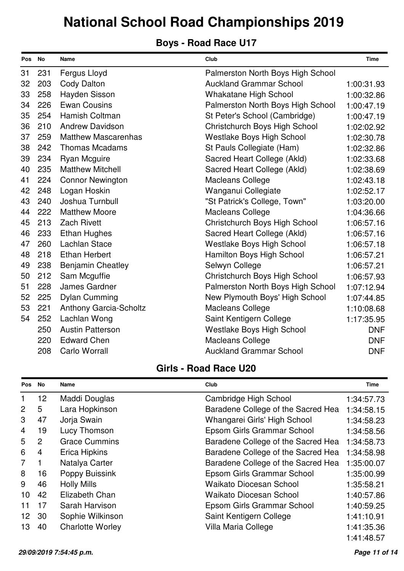### **Boys - Road Race U17**

| Pos No |     | Name                          | Club                              | <b>Time</b> |
|--------|-----|-------------------------------|-----------------------------------|-------------|
| 31     | 231 | Fergus Lloyd                  | Palmerston North Boys High School |             |
| 32     | 203 | <b>Cody Dalton</b>            | <b>Auckland Grammar School</b>    | 1:00:31.93  |
| 33     | 258 | Hayden Sisson                 | <b>Whakatane High School</b>      | 1:00:32.86  |
| 34     | 226 | <b>Ewan Cousins</b>           | Palmerston North Boys High School | 1:00:47.19  |
| 35     | 254 | Hamish Coltman                | St Peter's School (Cambridge)     | 1:00:47.19  |
| 36     | 210 | <b>Andrew Davidson</b>        | Christchurch Boys High School     | 1:02:02.92  |
| 37     | 259 | <b>Matthew Mascarenhas</b>    | <b>Westlake Boys High School</b>  | 1:02:30.78  |
| 38     | 242 | <b>Thomas Mcadams</b>         | St Pauls Collegiate (Ham)         | 1:02:32.86  |
| 39     | 234 | Ryan Mcguire                  | Sacred Heart College (Akld)       | 1:02:33.68  |
| 40     | 235 | <b>Matthew Mitchell</b>       | Sacred Heart College (Akld)       | 1:02:38.69  |
| 41     | 224 | <b>Connor Newington</b>       | <b>Macleans College</b>           | 1:02:43.18  |
| 42     | 248 | Logan Hoskin                  | Wanganui Collegiate               | 1:02:52.17  |
| 43     | 240 | Joshua Turnbull               | "St Patrick's College, Town"      | 1:03:20.00  |
| 44     | 222 | <b>Matthew Moore</b>          | <b>Macleans College</b>           | 1:04:36.66  |
| 45     | 213 | <b>Zach Rivett</b>            | Christchurch Boys High School     | 1:06:57.16  |
| 46     | 233 | <b>Ethan Hughes</b>           | Sacred Heart College (Akld)       | 1:06:57.16  |
| 47     | 260 | <b>Lachlan Stace</b>          | Westlake Boys High School         | 1:06:57.18  |
| 48     | 218 | <b>Ethan Herbert</b>          | Hamilton Boys High School         | 1:06:57.21  |
| 49     | 238 | <b>Benjamin Cheatley</b>      | Selwyn College                    | 1:06:57.21  |
| 50     | 212 | Sam Mcguffie                  | Christchurch Boys High School     | 1:06:57.93  |
| 51     | 228 | James Gardner                 | Palmerston North Boys High School | 1:07:12.94  |
| 52     | 225 | <b>Dylan Cumming</b>          | New Plymouth Boys' High School    | 1:07:44.85  |
| 53     | 221 | <b>Anthony Garcia-Scholtz</b> | <b>Macleans College</b>           | 1:10:08.68  |
| 54     | 252 | Lachlan Wong                  | Saint Kentigern College           | 1:17:35.95  |
|        | 250 | <b>Austin Patterson</b>       | Westlake Boys High School         | <b>DNF</b>  |
|        | 220 | <b>Edward Chen</b>            | <b>Macleans College</b>           | <b>DNF</b>  |
|        | 208 | Carlo Worrall                 | <b>Auckland Grammar School</b>    | <b>DNF</b>  |

| Pos             | <b>No</b>       | Name                    | Club                               | <b>Time</b> |
|-----------------|-----------------|-------------------------|------------------------------------|-------------|
|                 | 12 <sub>2</sub> | Maddi Douglas           | Cambridge High School              | 1:34:57.73  |
| 2               | 5               | Lara Hopkinson          | Baradene College of the Sacred Hea | 1:34:58.15  |
| 3               | 47              | Jorja Swain             | Whangarei Girls' High School       | 1:34:58.23  |
| 4               | 19              | Lucy Thomson            | Epsom Girls Grammar School         | 1:34:58.56  |
| 5               | $\overline{2}$  | <b>Grace Cummins</b>    | Baradene College of the Sacred Hea | 1:34:58.73  |
| 6               | 4               | Erica Hipkins           | Baradene College of the Sacred Hea | 1:34:58.98  |
| $\overline{7}$  | 1               | Natalya Carter          | Baradene College of the Sacred Hea | 1:35:00.07  |
| 8               | 16              | Poppy Buissink          | Epsom Girls Grammar School         | 1:35:00.99  |
| 9               | 46              | <b>Holly Mills</b>      | <b>Waikato Diocesan School</b>     | 1:35:58.21  |
| 10              | 42              | Elizabeth Chan          | <b>Waikato Diocesan School</b>     | 1:40:57.86  |
| 11              | 17              | Sarah Harvison          | Epsom Girls Grammar School         | 1:40:59.25  |
| 12 <sup>2</sup> | 30              | Sophie Wilkinson        | Saint Kentigern College            | 1:41:10.91  |
| 13              | 40              | <b>Charlotte Worley</b> | Villa Maria College                | 1:41:35.36  |
|                 |                 |                         |                                    | 1:41:48.57  |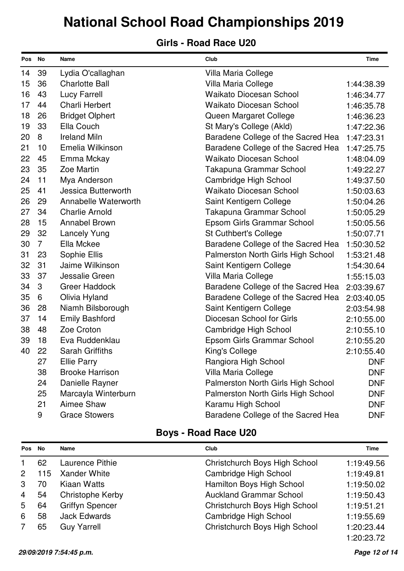#### **Girls - Road Race U20**

| Pos No |                | Name                   | Club                               | <b>Time</b> |
|--------|----------------|------------------------|------------------------------------|-------------|
| 14     | 39             | Lydia O'callaghan      | Villa Maria College                |             |
| 15     | 36             | <b>Charlotte Ball</b>  | Villa Maria College                | 1:44:38.39  |
| 16     | 43             | <b>Lucy Farrell</b>    | <b>Waikato Diocesan School</b>     | 1:46:34.77  |
| 17     | 44             | Charli Herbert         | <b>Waikato Diocesan School</b>     | 1:46:35.78  |
| 18     | 26             | <b>Bridget Olphert</b> | Queen Margaret College             | 1:46:36.23  |
| 19     | 33             | Ella Couch             | St Mary's College (Akld)           | 1:47:22.36  |
| 20     | 8              | <b>Ireland Miln</b>    | Baradene College of the Sacred Hea | 1:47:23.31  |
| 21     | 10             | Emelia Wilkinson       | Baradene College of the Sacred Hea | 1:47:25.75  |
| 22     | 45             | Emma Mckay             | <b>Waikato Diocesan School</b>     | 1:48:04.09  |
| 23     | 35             | Zoe Martin             | Takapuna Grammar School            | 1:49:22.27  |
| 24     | 11             | Mya Anderson           | Cambridge High School              | 1:49:37.50  |
| 25     | 41             | Jessica Butterworth    | <b>Waikato Diocesan School</b>     | 1:50:03.63  |
| 26     | 29             | Annabelle Waterworth   | Saint Kentigern College            | 1:50:04.26  |
| 27     | 34             | <b>Charlie Arnold</b>  | Takapuna Grammar School            | 1:50:05.29  |
| 28     | 15             | <b>Annabel Brown</b>   | Epsom Girls Grammar School         | 1:50:05.56  |
| 29     | 32             | <b>Lancely Yung</b>    | <b>St Cuthbert's College</b>       | 1:50:07.71  |
| 30     | $\overline{7}$ | Ella Mckee             | Baradene College of the Sacred Hea | 1:50:30.52  |
| 31     | 23             | Sophie Ellis           | Palmerston North Girls High School | 1:53:21.48  |
| 32     | 31             | Jaime Wilkinson        | Saint Kentigern College            | 1:54:30.64  |
| 33     | 37             | Jessalie Green         | Villa Maria College                | 1:55:15.03  |
| 34     | 3              | <b>Greer Haddock</b>   | Baradene College of the Sacred Hea | 2:03:39.67  |
| 35     | 6              | Olivia Hyland          | Baradene College of the Sacred Hea | 2:03:40.05  |
| 36     | 28             | Niamh Bilsborough      | Saint Kentigern College            | 2:03:54.98  |
| 37     | 14             | <b>Emily Bashford</b>  | Diocesan School for Girls          | 2:10:55.00  |
| 38     | 48             | Zoe Croton             | Cambridge High School              | 2:10:55.10  |
| 39     | 18             | Eva Ruddenklau         | Epsom Girls Grammar School         | 2:10:55.20  |
| 40     | 22             | <b>Sarah Griffiths</b> | King's College                     | 2:10:55.40  |
|        | 27             | <b>Ellie Parry</b>     | Rangiora High School               | <b>DNF</b>  |
|        | 38             | <b>Brooke Harrison</b> | Villa Maria College                | <b>DNF</b>  |
|        | 24             | Danielle Rayner        | Palmerston North Girls High School | <b>DNF</b>  |
|        | 25             | Marcayla Winterburn    | Palmerston North Girls High School | <b>DNF</b>  |
|        | 21             | Aimee Shaw             | Karamu High School                 | <b>DNF</b>  |
|        | 9              | <b>Grace Stowers</b>   | Baradene College of the Sacred Hea | <b>DNF</b>  |

| Pos            | No  | Name                   | Club                           | Time       |
|----------------|-----|------------------------|--------------------------------|------------|
|                | 62  | Laurence Pithie        | Christchurch Boys High School  | 1:19:49.56 |
| 2              | 115 | <b>Xander White</b>    | <b>Cambridge High School</b>   | 1:19:49.81 |
| 3              | 70  | Kiaan Watts            | Hamilton Boys High School      | 1:19:50.02 |
| $\overline{4}$ | 54  | Christophe Kerby       | <b>Auckland Grammar School</b> | 1:19:50.43 |
| 5              | 64  | <b>Griffyn Spencer</b> | Christchurch Boys High School  | 1:19:51.21 |
| 6              | 58  | <b>Jack Edwards</b>    | <b>Cambridge High School</b>   | 1:19:55.69 |
| 7              | 65  | <b>Guy Yarrell</b>     | Christchurch Boys High School  | 1:20:23.44 |
|                |     |                        |                                | 1:20:23.72 |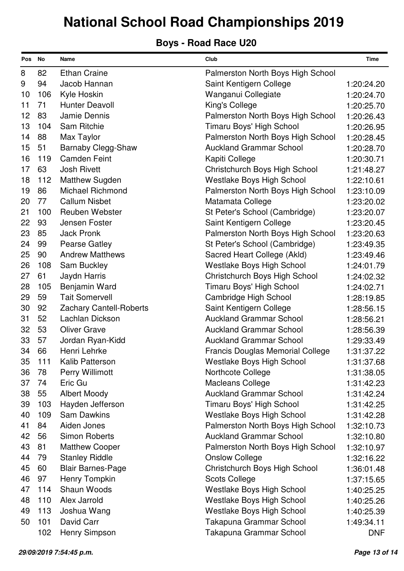| Pos No |     | Name                           | Club                                    | <b>Time</b> |
|--------|-----|--------------------------------|-----------------------------------------|-------------|
| 8      | 82  | <b>Ethan Craine</b>            | Palmerston North Boys High School       |             |
| 9      | 94  | Jacob Hannan                   | Saint Kentigern College                 | 1:20:24.20  |
| 10     | 106 | Kyle Hoskin                    | Wanganui Collegiate                     | 1:20:24.70  |
| 11     | 71  | <b>Hunter Deavoll</b>          | King's College                          | 1:20:25.70  |
| 12     | 83  | Jamie Dennis                   | Palmerston North Boys High School       | 1:20:26.43  |
| 13     | 104 | Sam Ritchie                    | Timaru Boys' High School                | 1:20:26.95  |
| 14     | 88  | Max Taylor                     | Palmerston North Boys High School       | 1:20:28.45  |
| 15     | 51  | Barnaby Clegg-Shaw             | <b>Auckland Grammar School</b>          | 1:20:28.70  |
| 16     | 119 | <b>Camden Feint</b>            | Kapiti College                          | 1:20:30.71  |
| 17     | 63  | <b>Josh Rivett</b>             | Christchurch Boys High School           | 1:21:48.27  |
| 18     | 112 | <b>Matthew Sugden</b>          | <b>Westlake Boys High School</b>        | 1:22:10.61  |
| 19     | 86  | <b>Michael Richmond</b>        | Palmerston North Boys High School       | 1:23:10.09  |
| 20     | 77  | <b>Callum Nisbet</b>           | Matamata College                        | 1:23:20.02  |
| 21     | 100 | <b>Reuben Webster</b>          | St Peter's School (Cambridge)           | 1:23:20.07  |
| 22     | 93  | Jensen Foster                  | Saint Kentigern College                 | 1:23:20.45  |
| 23     | 85  | <b>Jack Pronk</b>              | Palmerston North Boys High School       | 1:23:20.63  |
| 24     | 99  | <b>Pearse Gatley</b>           | St Peter's School (Cambridge)           | 1:23:49.35  |
| 25     | 90  | <b>Andrew Matthews</b>         | Sacred Heart College (Akld)             | 1:23:49.46  |
| 26     | 108 | Sam Buckley                    | <b>Westlake Boys High School</b>        | 1:24:01.79  |
| 27     | 61  | Jaydn Harris                   | Christchurch Boys High School           | 1:24:02.32  |
| 28     | 105 | Benjamin Ward                  | Timaru Boys' High School                | 1:24:02.71  |
| 29     | 59  | <b>Tait Somervell</b>          | Cambridge High School                   | 1:28:19.85  |
| 30     | 92  | <b>Zachary Cantell-Roberts</b> | Saint Kentigern College                 | 1:28:56.15  |
| 31     | 52  | Lachlan Dickson                | <b>Auckland Grammar School</b>          | 1:28:56.21  |
| 32     | 53  | <b>Oliver Grave</b>            | <b>Auckland Grammar School</b>          | 1:28:56.39  |
| 33     | 57  | Jordan Ryan-Kidd               | <b>Auckland Grammar School</b>          | 1:29:33.49  |
| 34     | 66  | Henri Lehrke                   | <b>Francis Douglas Memorial College</b> | 1:31:37.22  |
| 35     | 111 | <b>Kalib Patterson</b>         | <b>Westlake Boys High School</b>        | 1:31:37.68  |
| 36     | 78  | Perry Willimott                | <b>Northcote College</b>                | 1:31:38.05  |
| 37     | 74  | Eric Gu                        | <b>Macleans College</b>                 | 1:31:42.23  |
| 38     | 55  | <b>Albert Moody</b>            | <b>Auckland Grammar School</b>          | 1:31:42.24  |
| 39     | 103 | Hayden Jefferson               | Timaru Boys' High School                | 1:31:42.25  |
| 40     | 109 | <b>Sam Dawkins</b>             | <b>Westlake Boys High School</b>        | 1:31:42.28  |
| 41     | 84  | Aiden Jones                    | Palmerston North Boys High School       | 1:32:10.73  |
| 42     | 56  | <b>Simon Roberts</b>           | <b>Auckland Grammar School</b>          | 1:32:10.80  |
| 43     | 81  | <b>Matthew Cooper</b>          | Palmerston North Boys High School       | 1:32:10.97  |
| 44     | 79  | <b>Stanley Riddle</b>          | <b>Onslow College</b>                   | 1:32:16.22  |
| 45     | 60  | <b>Blair Barnes-Page</b>       | Christchurch Boys High School           | 1:36:01.48  |
| 46     | 97  | Henry Tompkin                  | <b>Scots College</b>                    | 1:37:15.65  |
| 47     | 114 | Shaun Woods                    | Westlake Boys High School               | 1:40:25.25  |
| 48     | 110 | Alex Jarrold                   | <b>Westlake Boys High School</b>        | 1:40:25.26  |
| 49     | 113 | Joshua Wang                    | <b>Westlake Boys High School</b>        | 1:40:25.39  |
| 50     | 101 | David Carr                     | Takapuna Grammar School                 | 1:49:34.11  |
|        | 102 | Henry Simpson                  | Takapuna Grammar School                 | <b>DNF</b>  |